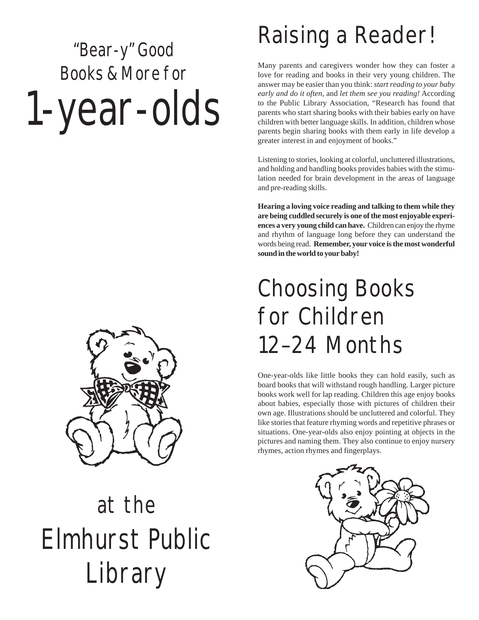# "Bear-y" Good Books & More for 1-year-olds



## at the Elmhurst Public Library

### Raising a Reader!

Many parents and caregivers wonder how they can foster a love for reading and books in their very young children. The answer may be easier than you think: *start reading to your baby early and do it often,* and *let them see you reading!* According to the Public Library Association, "Research has found that parents who start sharing books with their babies early on have children with better language skills. In addition, children whose parents begin sharing books with them early in life develop a greater interest in and enjoyment of books."

Listening to stories, looking at colorful, uncluttered illustrations, and holding and handling books provides babies with the stimulation needed for brain development in the areas of language and pre-reading skills.

**Hearing a loving voice reading and talking to them while they are being cuddled securely is one of the most enjoyable experiences a very young child can have.** Children can enjoy the rhyme and rhythm of language long before they can understand the words being read. **Remember, your voice is the most wonderful sound in the world to your baby!**

### Choosing Books for Children 12–24 Months

One-year-olds like little books they can hold easily, such as board books that will withstand rough handling. Larger picture books work well for lap reading. Children this age enjoy books about babies, especially those with pictures of children their own age. Illustrations should be uncluttered and colorful. They like stories that feature rhyming words and repetitive phrases or situations. One-year-olds also enjoy pointing at objects in the pictures and naming them. They also continue to enjoy nursery rhymes, action rhymes and fingerplays.

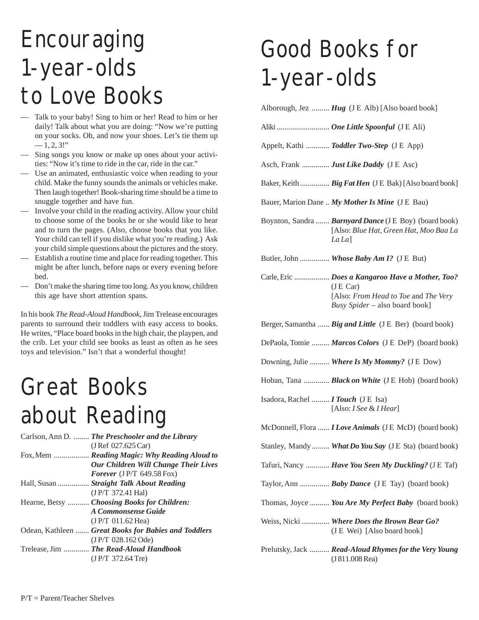### Encouraging 1-year-olds to Love Books

- Talk to your baby! Sing to him or her! Read to him or her daily! Talk about what you are doing: "Now we're putting on your socks. Oh, and now your shoes. Let's tie them up  $-1, 2, 3!$ "
- Sing songs you know or make up ones about your activities: "Now it's time to ride in the car, ride in the car."
- Use an animated, enthusiastic voice when reading to your child. Make the funny sounds the animals or vehicles make. Then laugh together! Book-sharing time should be a time to snuggle together and have fun.
- Involve your child in the reading activity. Allow your child to choose some of the books he or she would like to hear and to turn the pages. (Also, choose books that you like. Your child can tell if you dislike what you're reading.) Ask your child simple questions about the pictures and the story.
- Establish a routine time and place for reading together. This might be after lunch, before naps or every evening before bed.
- Don't make the sharing time too long. As you know, children this age have short attention spans.

In his book *The Read-Aloud Handbook*, Jim Trelease encourages parents to surround their toddlers with easy access to books. He writes, "Place board books in the high chair, the playpen, and the crib. Let your child see books as least as often as he sees toys and television." Isn't that a wonderful thought!

#### Great Books about Reading

| Carlson, Ann D.  The Preschooler and the Library     |
|------------------------------------------------------|
| (J Ref 027.625 Car)                                  |
| Fox, Mem  Reading Magic: Why Reading Aloud to        |
| Our Children Will Change Their Lives                 |
| Forever $($ J $P/T$ 649.58 Fox)                      |
| Hall, Susan  Straight Talk About Reading             |
| (J P/T 372.41 Ha)                                    |
| Hearne, Betsy  Choosing Books for Children:          |
| A Commonsense Guide                                  |
| $(J P/T 011.62$ Hea                                  |
| Odean, Kathleen  Great Books for Babies and Toddlers |
| (JP/T 028.162 Ode)                                   |
| Trelease, Jim  The Read-Aloud Handbook               |
| (J P/T 372.64 Tre)                                   |
|                                                      |

### Good Books for 1-year-olds

|                                         | Alborough, Jez  Hug (J E Alb) [Also board book]                                                                                        |
|-----------------------------------------|----------------------------------------------------------------------------------------------------------------------------------------|
|                                         | Aliki  One Little Spoonful (JE Ali)                                                                                                    |
|                                         | Appelt, Kathi  Toddler Two-Step (J E App)                                                                                              |
|                                         | Asch, Frank  Just Like Daddy (J E Asc)                                                                                                 |
|                                         | Baker, Keith  Big Fat Hen (JE Bak) [Also board book]                                                                                   |
|                                         | Bauer, Marion Dane  My Mother Is Mine (J E Bau)                                                                                        |
|                                         | Boynton, Sandra <b>Barnyard Dance</b> (JE Boy) (board book)<br>[Also: Blue Hat, Green Hat, Moo Baa La<br>La La                         |
|                                         | Butler, John  Whose Baby Am I? (J E But)                                                                                               |
|                                         | Carle, Eric  Does a Kangaroo Have a Mother, Too?<br>(JE Car)<br>[Also: From Head to Toe and The Very<br>Busy Spider – also board book] |
|                                         | Berger, Samantha  Big and Little (J E Ber) (board book)                                                                                |
|                                         | DePaola, Tomie  Marcos Colors (J E DeP) (board book)                                                                                   |
|                                         | Downing, Julie  Where Is My Mommy? (JE Dow)                                                                                            |
|                                         | Hoban, Tana <b>Black on White</b> (J E Hob) (board book)                                                                               |
| Isadora, Rachel <i>I Touch</i> (JE Isa) | [Also: I See & I Hear]                                                                                                                 |
|                                         | McDonnell, Flora <i>I Love Animals</i> (J E McD) (board book)                                                                          |
|                                         | Stanley, Mandy  What Do You Say (J E Sta) (board book)                                                                                 |
|                                         | Tafuri, Nancy  Have You Seen My Duckling? (JE Taf)                                                                                     |
|                                         | Taylor, Ann <b>Baby Dance</b> (J E Tay) (board book)                                                                                   |
|                                         | Thomas, Joyce  You Are My Perfect Baby (board book)                                                                                    |
|                                         | Weiss, Nicki  Where Does the Brown Bear Go?<br>(J E Wei) [Also board book]                                                             |
|                                         | Prelutsky, Jack  Read-Aloud Rhymes for the Very Young<br>(J 811.008 Rea)                                                               |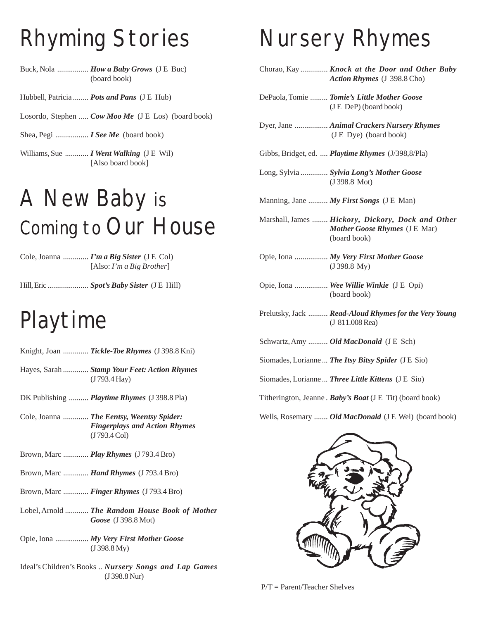### Rhyming Stories

Buck, Nola ................ *How a Baby Grows* (J E Buc) (board book)

Hubbell, Patricia ........ *Pots and Pans* (J E Hub)

Losordo, Stephen ..... *Cow Moo Me* (J E Los) (board book)

Shea, Pegi ................. *I See Me* (board book)

Williams, Sue ............ *I Went Walking* (J E Wil) [Also board book]

### A New Baby is Coming to Our House

Cole, Joanna ............. *I'm a Big Sister* (J E Col) [Also: *I'm a Big Brother*]

Hill, Eric ..................... *Spot's Baby Sister* (J E Hill)

#### Playtime

- Knight, Joan ............. *Tickle-Toe Rhymes* (J 398.8 Kni)
- Hayes, Sarah ............. *Stamp Your Feet: Action Rhymes* (J 793.4 Hay)
- DK Publishing .......... *Playtime Rhymes* (J 398.8 Pla)

Cole, Joanna ............. *The Eentsy, Weentsy Spider: Fingerplays and Action Rhymes* (J 793.4 Col)

- Brown, Marc ............. *Play Rhymes* (J 793.4 Bro)
- Brown, Marc ............. *Hand Rhymes* (J 793.4 Bro)
- Brown, Marc ............. *Finger Rhymes* (J 793.4 Bro)
- Lobel, Arnold ............ *The Random House Book of Mother Goose* (J 398.8 Mot)
- Opie, Iona ................. *My Very First Mother Goose* (J 398.8 My)
- Ideal's Children's Books .. *Nursery Songs and Lap Games* (J 398.8 Nur)

#### Nursery Rhymes

- Chorao, Kay .............. *Knock at the Door and Other Baby Action Rhymes* (J 398.8 Cho)
- DePaola, Tomie ......... *Tomie's Little Mother Goose* (J E DeP) (board book)
- Dyer, Jane ................. *Animal Crackers Nursery Rhymes* (J E Dye) (board book)
- Gibbs, Bridget, ed. .... *Playtime Rhymes* (J/398,8/Pla)
- Long, Sylvia .............. *Sylvia Long's Mother Goose* (J 398.8 Mot)
- Manning, Jane .......... *My First Songs* (J E Man)
- Marshall, James ........ *Hickory, Dickory, Dock and Other Mother Goose Rhymes* (J E Mar) (board book)
- Opie, Iona ................. *My Very First Mother Goose* (J 398.8 My)
- Opie, Iona ................. *Wee Willie Winkie* (J E Opi) (board book)
- Prelutsky, Jack .......... *Read-Aloud Rhymes for the Very Young* (J 811.008 Rea)
- Schwartz, Amy .......... *Old MacDonald* (J E Sch)
- Siomades, Lorianne... *The Itsy Bitsy Spider* (J E Sio)

Siomades, Lorianne... *Three Little Kittens* (J E Sio)

Titherington, Jeanne . *Baby's Boat* (J E Tit) (board book)

Wells, Rosemary ....... *Old MacDonald* (J E Wel) (board book)



P/T = Parent/Teacher Shelves